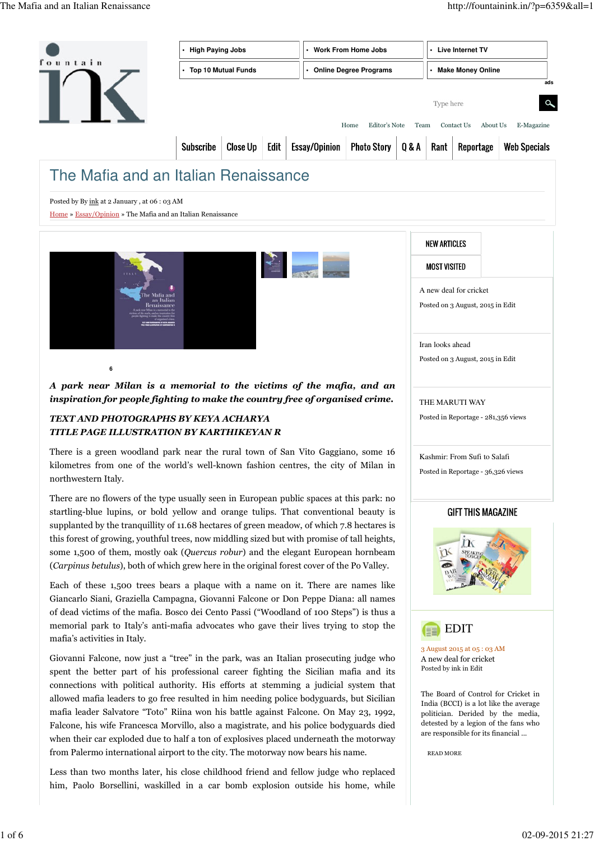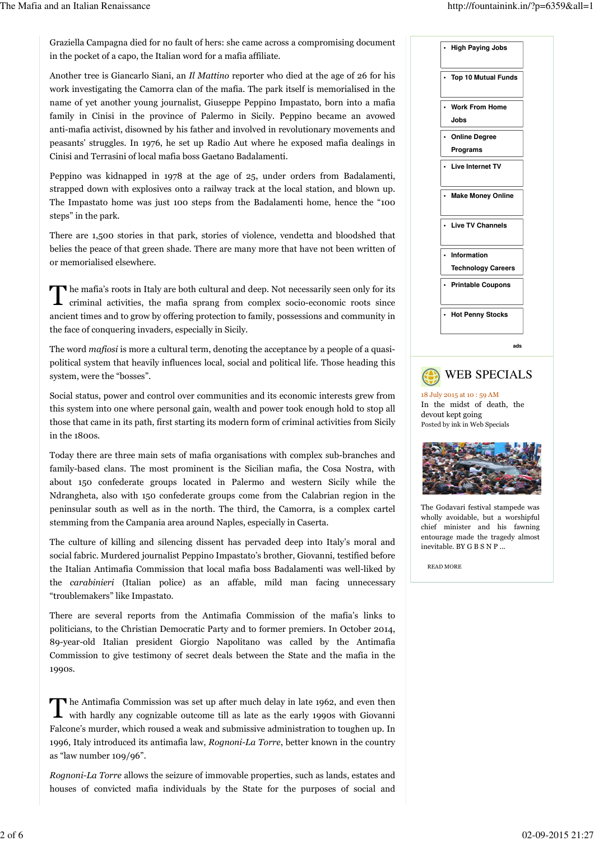Graziella Campagna died for no fault of hers: she came across a compromising document in the pocket of a capo, the Italian word for a mafia affiliate.

Another tree is Giancarlo Siani, an Il Mattino reporter who died at the age of 26 for his work investigating the Camorra clan of the mafia. The park itself is memorialised in the name of yet another young journalist, Giuseppe Peppino Impastato, born into a mafia family in Cinisi in the province of Palermo in Sicily. Peppino became an avowed anti-mafia activist, disowned by his father and involved in revolutionary movements and peasants' struggles. In 1976, he set up Radio Aut where he exposed mafia dealings in Cinisi and Terrasini of local mafia boss Gaetano Badalamenti.

Peppino was kidnapped in 1978 at the age of 25, under orders from Badalamenti, strapped down with explosives onto a railway track at the local station, and blown up. The Impastato home was just 100 steps from the Badalamenti home, hence the "100 steps" in the park.

There are 1,500 stories in that park, stories of violence, vendetta and bloodshed that belies the peace of that green shade. There are many more that have not been written of or memorialised elsewhere.

The mafia's roots in Italy are both cultural and deep. Not necessarily seen only for its<br>criminal activities, the mafia sprang from complex socio-economic roots since criminal activities, the mafia sprang from complex socio-economic roots since ancient times and to grow by offering protection to family, possessions and community in the face of conquering invaders, especially in Sicily.

The word mafiosi is more a cultural term, denoting the acceptance by a people of a quasipolitical system that heavily influences local, social and political life. Those heading this system, were the "bosses".

Social status, power and control over communities and its economic interests grew from this system into one where personal gain, wealth and power took enough hold to stop all those that came in its path, first starting its modern form of criminal activities from Sicily in the 1800s.

Today there are three main sets of mafia organisations with complex sub-branches and family-based clans. The most prominent is the Sicilian mafia, the Cosa Nostra, with about 150 confederate groups located in Palermo and western Sicily while the Ndrangheta, also with 150 confederate groups come from the Calabrian region in the peninsular south as well as in the north. The third, the Camorra, is a complex cartel stemming from the Campania area around Naples, especially in Caserta.

The culture of killing and silencing dissent has pervaded deep into Italy's moral and social fabric. Murdered journalist Peppino Impastato's brother, Giovanni, testified before the Italian Antimafia Commission that local mafia boss Badalamenti was well-liked by the carabinieri (Italian police) as an affable, mild man facing unnecessary "troublemakers" like Impastato.

There are several reports from the Antimafia Commission of the mafia's links to politicians, to the Christian Democratic Party and to former premiers. In October 2014, 89-year-old Italian president Giorgio Napolitano was called by the Antimafia Commission to give testimony of secret deals between the State and the mafia in the 1990s.

The Antimafia Commission was set up after much delay in late 1962, and even then with hardly any cognizable outcome till as late as the early 1990s with Giovanni The Antimafia Commission was set up after much delay in late 1962, and even then Falcone's murder, which roused a weak and submissive administration to toughen up. In 1996, Italy introduced its antimafia law, Rognoni-La Torre, better known in the country as "law number 109/96".

Rognoni-La Torre allows the seizure of immovable properties, such as lands, estates and houses of convicted mafia individuals by the State for the purposes of social and





In the midst of death, the devout kept going 18 July 2015 at 10 : 59 AM Posted by ink in Web Specials



The Godavari festival stampede was wholly avoidable, but a worshipful chief minister and his fawning entourage made the tragedy almost inevitable. BY G B S N P ...

READ MORE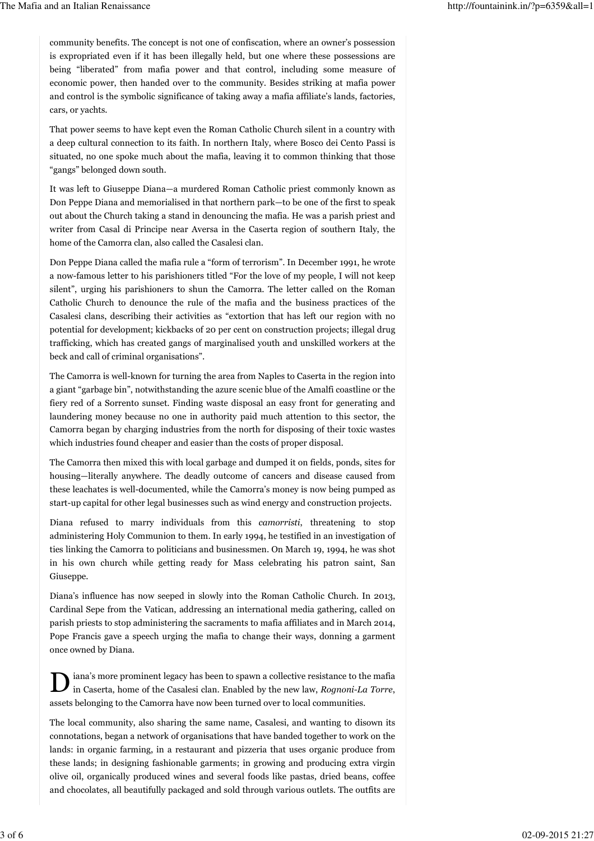community benefits. The concept is not one of confiscation, where an owner's possession is expropriated even if it has been illegally held, but one where these possessions are being "liberated" from mafia power and that control, including some measure of economic power, then handed over to the community. Besides striking at mafia power and control is the symbolic significance of taking away a mafia affiliate's lands, factories, cars, or yachts.

That power seems to have kept even the Roman Catholic Church silent in a country with a deep cultural connection to its faith. In northern Italy, where Bosco dei Cento Passi is situated, no one spoke much about the mafia, leaving it to common thinking that those "gangs" belonged down south.

It was left to Giuseppe Diana—a murdered Roman Catholic priest commonly known as Don Peppe Diana and memorialised in that northern park—to be one of the first to speak out about the Church taking a stand in denouncing the mafia. He was a parish priest and writer from Casal di Principe near Aversa in the Caserta region of southern Italy, the home of the Camorra clan, also called the Casalesi clan.

Don Peppe Diana called the mafia rule a "form of terrorism". In December 1991, he wrote a now-famous letter to his parishioners titled "For the love of my people, I will not keep silent", urging his parishioners to shun the Camorra. The letter called on the Roman Catholic Church to denounce the rule of the mafia and the business practices of the Casalesi clans, describing their activities as "extortion that has left our region with no potential for development; kickbacks of 20 per cent on construction projects; illegal drug trafficking, which has created gangs of marginalised youth and unskilled workers at the beck and call of criminal organisations".

The Camorra is well-known for turning the area from Naples to Caserta in the region into a giant "garbage bin", notwithstanding the azure scenic blue of the Amalfi coastline or the fiery red of a Sorrento sunset. Finding waste disposal an easy front for generating and laundering money because no one in authority paid much attention to this sector, the Camorra began by charging industries from the north for disposing of their toxic wastes which industries found cheaper and easier than the costs of proper disposal.

The Camorra then mixed this with local garbage and dumped it on fields, ponds, sites for housing—literally anywhere. The deadly outcome of cancers and disease caused from these leachates is well-documented, while the Camorra's money is now being pumped as start-up capital for other legal businesses such as wind energy and construction projects.

Diana refused to marry individuals from this camorristi, threatening to stop administering Holy Communion to them. In early 1994, he testified in an investigation of ties linking the Camorra to politicians and businessmen. On March 19, 1994, he was shot in his own church while getting ready for Mass celebrating his patron saint, San Giuseppe.

Diana's influence has now seeped in slowly into the Roman Catholic Church. In 2013, Cardinal Sepe from the Vatican, addressing an international media gathering, called on parish priests to stop administering the sacraments to mafia affiliates and in March 2014, Pope Francis gave a speech urging the mafia to change their ways, donning a garment once owned by Diana.

D iana's more prominent legacy has been to spawn a collective resistance to the mafia in Caserta, home of the Casalesi clan. Enabled by the new law, Rognoni-La Torre, assets belonging to the Camorra have now been turned over to local communities.

The local community, also sharing the same name, Casalesi, and wanting to disown its connotations, began a network of organisations that have banded together to work on the lands: in organic farming, in a restaurant and pizzeria that uses organic produce from these lands; in designing fashionable garments; in growing and producing extra virgin olive oil, organically produced wines and several foods like pastas, dried beans, coffee and chocolates, all beautifully packaged and sold through various outlets. The outfits are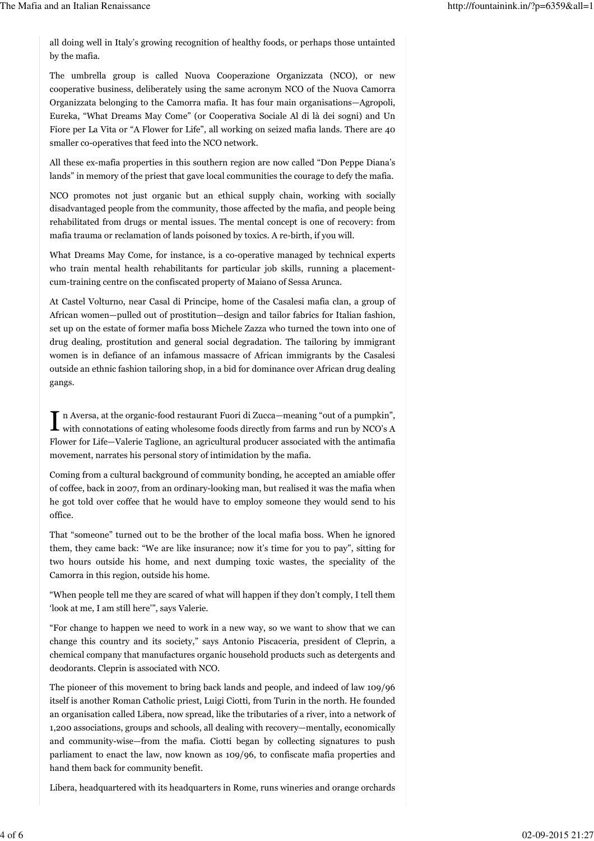all doing well in Italy's growing recognition of healthy foods, or perhaps those untainted by the mafia.

The umbrella group is called Nuova Cooperazione Organizzata (NCO), or new cooperative business, deliberately using the same acronym NCO of the Nuova Camorra Organizzata belonging to the Camorra mafia. It has four main organisations—Agropoli, Eureka, "What Dreams May Come" (or Cooperativa Sociale Al di là dei sogni) and Un Fiore per La Vita or "A Flower for Life", all working on seized mafia lands. There are 40 smaller co-operatives that feed into the NCO network.

All these ex-mafia properties in this southern region are now called "Don Peppe Diana's lands" in memory of the priest that gave local communities the courage to defy the mafia.

NCO promotes not just organic but an ethical supply chain, working with socially disadvantaged people from the community, those affected by the mafia, and people being rehabilitated from drugs or mental issues. The mental concept is one of recovery: from mafia trauma or reclamation of lands poisoned by toxics. A re-birth, if you will.

What Dreams May Come, for instance, is a co-operative managed by technical experts who train mental health rehabilitants for particular job skills, running a placementcum-training centre on the confiscated property of Maiano of Sessa Arunca.

At Castel Volturno, near Casal di Principe, home of the Casalesi mafia clan, a group of African women—pulled out of prostitution—design and tailor fabrics for Italian fashion, set up on the estate of former mafia boss Michele Zazza who turned the town into one of drug dealing, prostitution and general social degradation. The tailoring by immigrant women is in defiance of an infamous massacre of African immigrants by the Casalesi outside an ethnic fashion tailoring shop, in a bid for dominance over African drug dealing gangs.

In Aversa, at the organic-food restaurant Fuori di Zucca—meaning "out of a pumpkin", with connotations of eating wholesome foods directly from farms and run by NCO's A n Aversa, at the organic-food restaurant Fuori di Zucca—meaning "out of a pumpkin", Flower for Life—Valerie Taglione, an agricultural producer associated with the antimafia movement, narrates his personal story of intimidation by the mafia.

Coming from a cultural background of community bonding, he accepted an amiable offer of coffee, back in 2007, from an ordinary-looking man, but realised it was the mafia when he got told over coffee that he would have to employ someone they would send to his office.

That "someone" turned out to be the brother of the local mafia boss. When he ignored them, they came back: "We are like insurance; now it's time for you to pay", sitting for two hours outside his home, and next dumping toxic wastes, the speciality of the Camorra in this region, outside his home.

"When people tell me they are scared of what will happen if they don't comply, I tell them 'look at me, I am still here'", says Valerie.

"For change to happen we need to work in a new way, so we want to show that we can change this country and its society," says Antonio Piscaceria, president of Cleprin, a chemical company that manufactures organic household products such as detergents and deodorants. Cleprin is associated with NCO.

The pioneer of this movement to bring back lands and people, and indeed of law 109/96 itself is another Roman Catholic priest, Luigi Ciotti, from Turin in the north. He founded an organisation called Libera, now spread, like the tributaries of a river, into a network of 1,200 associations, groups and schools, all dealing with recovery—mentally, economically and community-wise—from the mafia. Ciotti began by collecting signatures to push parliament to enact the law, now known as 109/96, to confiscate mafia properties and hand them back for community benefit.

Libera, headquartered with its headquarters in Rome, runs wineries and orange orchards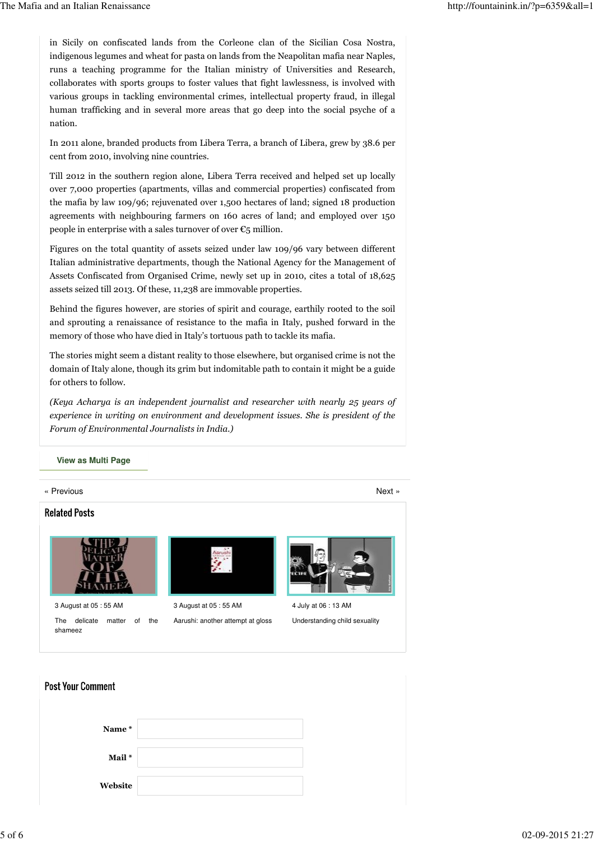in Sicily on confiscated lands from the Corleone clan of the Sicilian Cosa Nostra, indigenous legumes and wheat for pasta on lands from the Neapolitan mafia near Naples, runs a teaching programme for the Italian ministry of Universities and Research, collaborates with sports groups to foster values that fight lawlessness, is involved with various groups in tackling environmental crimes, intellectual property fraud, in illegal human trafficking and in several more areas that go deep into the social psyche of a nation.

In 2011 alone, branded products from Libera Terra, a branch of Libera, grew by 38.6 per cent from 2010, involving nine countries.

Till 2012 in the southern region alone, Libera Terra received and helped set up locally over 7,000 properties (apartments, villas and commercial properties) confiscated from the mafia by law 109/96; rejuvenated over 1,500 hectares of land; signed 18 production agreements with neighbouring farmers on 160 acres of land; and employed over 150 people in enterprise with a sales turnover of over  $\epsilon_5$  million.

Figures on the total quantity of assets seized under law 109/96 vary between different Italian administrative departments, though the National Agency for the Management of Assets Confiscated from Organised Crime, newly set up in 2010, cites a total of 18,625 assets seized till 2013. Of these, 11,238 are immovable properties.

Behind the figures however, are stories of spirit and courage, earthily rooted to the soil and sprouting a renaissance of resistance to the mafia in Italy, pushed forward in the memory of those who have died in Italy's tortuous path to tackle its mafia.

The stories might seem a distant reality to those elsewhere, but organised crime is not the domain of Italy alone, though its grim but indomitable path to contain it might be a guide for others to follow.

(Keya Acharya is an independent journalist and researcher with nearly 25 years of experience in writing on environment and development issues. She is president of the Forum of Environmental Journalists in India.)

## **View as Multi Page**

« Previous Next » Next » And the set of the set of the set of the set of the set of the set of the set of the set of the set of the set of the set of the set of the set of the set of the set of the set of the set of the se

## **Related Posts**



3 August at 05 : 55 AM The delicate matter of the shameez



3 August at 05 : 55 AM Aarushi: another attempt at gloss



4 July at 06 : 13 AM Understanding child sexuality